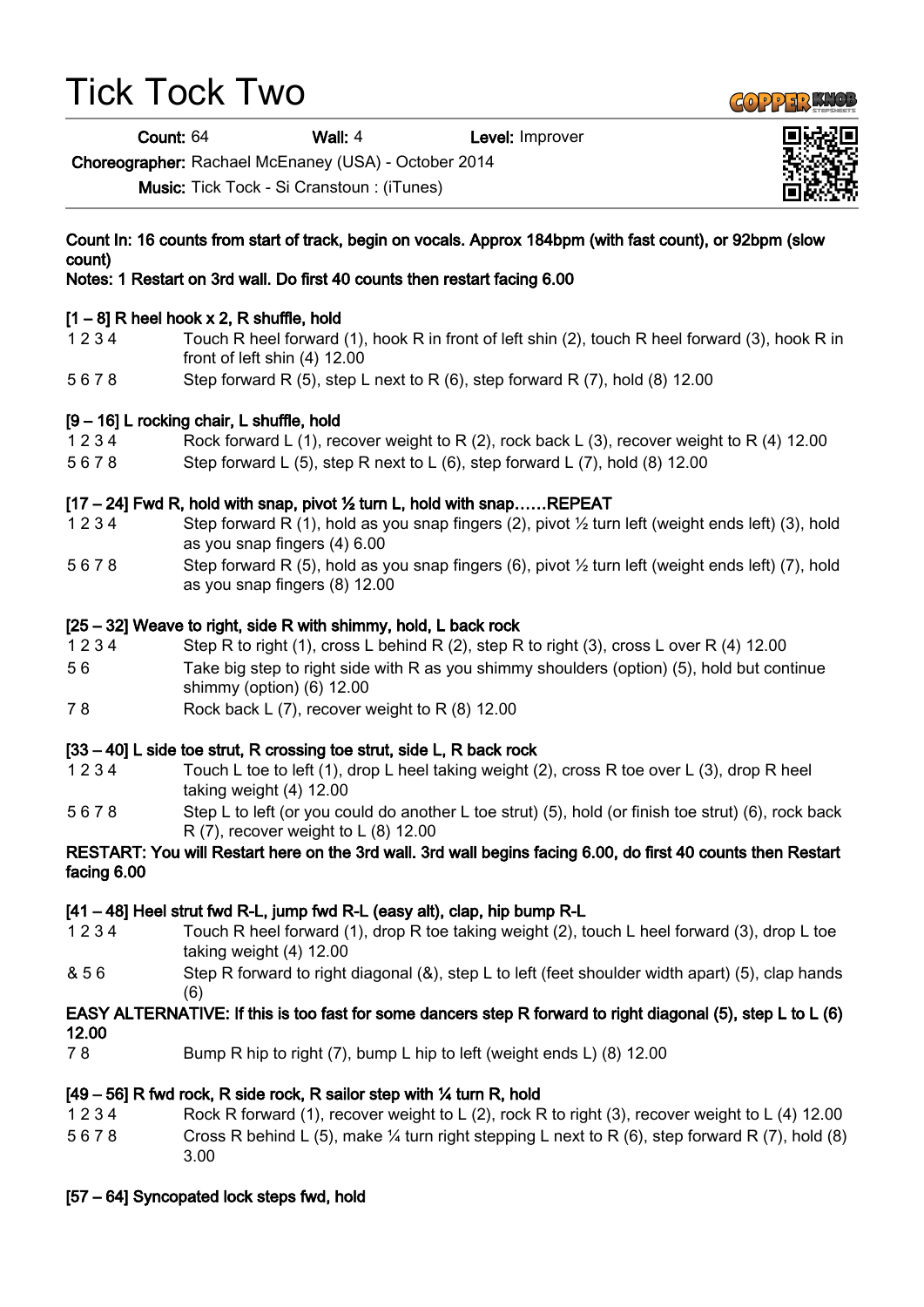# Tick Tock Two

count)

Count: 64 Wall: 4 Level: Improver

Choreographer: Rachael McEnaney (USA) - October 2014

Music: Tick Tock - Si Cranstoun : (iTunes)

# $[1 - 8]$  R heel hook x 2, R shuffle, hold 1 2 3 4 Touch R heel forward (1), hook R in front of left shin (2), touch R heel forward (3), hook R in front of left shin (4) 12.00 5 6 7 8 Step forward R (5), step L next to R (6), step forward R (7), hold (8) 12.00 [9 – 16] L rocking chair, L shuffle, hold 1 2 3 4 Rock forward L (1), recover weight to R (2), rock back L (3), recover weight to R (4) 12.00 5 6 7 8 Step forward L (5), step R next to L (6), step forward L (7), hold (8) 12.00 [17 – 24] Fwd R, hold with snap, pivot ½ turn L, hold with snap……REPEAT 1 2 3 4 Step forward R (1), hold as you snap fingers (2), pivot ½ turn left (weight ends left) (3), hold as you snap fingers (4) 6.00 5 6 7 8 Step forward R (5), hold as you snap fingers (6), pivot ½ turn left (weight ends left) (7), hold as you snap fingers (8) 12.00 [25 – 32] Weave to right, side R with shimmy, hold, L back rock 1 2 3 4 Step R to right (1), cross L behind R (2), step R to right (3), cross L over R (4) 12.00 5 6 Take big step to right side with R as you shimmy shoulders (option) (5), hold but continue

Count In: 16 counts from start of track, begin on vocals. Approx 184bpm (with fast count), or 92bpm (slow

- shimmy (option) (6) 12.00
- 7 8 Rock back L (7), recover weight to R (8) 12.00

## [33 – 40] L side toe strut, R crossing toe strut, side L, R back rock

- 1 2 3 4 Touch L toe to left (1), drop L heel taking weight (2), cross R toe over L (3), drop R heel taking weight (4) 12.00
- 5 6 7 8 Step L to left (or you could do another L toe strut) (5), hold (or finish toe strut) (6), rock back R (7), recover weight to L (8) 12.00

#### RESTART: You will Restart here on the 3rd wall. 3rd wall begins facing 6.00, do first 40 counts then Restart facing 6.00

## [41 – 48] Heel strut fwd R-L, jump fwd R-L (easy alt), clap, hip bump R-L

- 1 2 3 4 Touch R heel forward (1), drop R toe taking weight (2), touch L heel forward (3), drop L toe taking weight (4) 12.00
- & 5 6 Step R forward to right diagonal (&), step L to left (feet shoulder width apart) (5), clap hands (6)

#### EASY ALTERNATIVE: If this is too fast for some dancers step R forward to right diagonal (5), step L to L (6) 12.00

7 8 Bump R hip to right (7), bump L hip to left (weight ends L) (8) 12.00

## [49 – 56] R fwd rock, R side rock, R sailor step with ¼ turn R, hold

1 2 3 4 Rock R forward (1), recover weight to L (2), rock R to right (3), recover weight to L (4) 12.00 5 6 7 8 Cross R behind L (5), make ¼ turn right stepping L next to R (6), step forward R (7), hold (8) 3.00

# [57 – 64] Syncopated lock steps fwd, hold



Notes: 1 Restart on 3rd wall. Do first 40 counts then restart facing 6.00